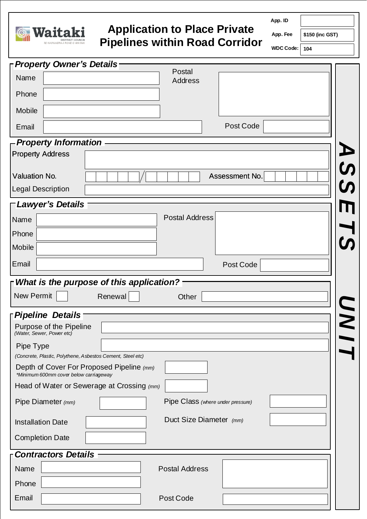

## **Application to Place Private Pipelines within Road Corridor**

**App. ID**

**App. Fee** 

**\$150 (inc GST)**

**WDC Code: 104**

| <b>F</b> Property Owner's Details                                                   |             |
|-------------------------------------------------------------------------------------|-------------|
| Postal<br>Name<br>Address                                                           |             |
| Phone                                                                               |             |
| Mobile                                                                              |             |
| Post Code<br>Email                                                                  |             |
| - Property Information                                                              |             |
| <b>Property Address</b>                                                             |             |
| <b>Valuation No.</b><br>Assessment No.                                              |             |
| <b>Legal Description</b>                                                            | <b>A 25</b> |
| <b>FLawyer's Details</b>                                                            |             |
| <b>Postal Address</b><br>Name                                                       |             |
| Phone                                                                               |             |
| Mobile                                                                              |             |
| Email<br>Post Code                                                                  |             |
| $\Gamma$ What is the purpose of this application?                                   |             |
| New Permit<br>Renewal<br>Other                                                      |             |
| Pipeline Details                                                                    |             |
| Purpose of the Pipeline<br>(Water, Sewer, Power etc)                                |             |
| Pipe Type                                                                           |             |
| (Concrete, Plastic, Polythene, Asbestos Cement, Steel etc)                          |             |
| Depth of Cover For Proposed Pipeline (mm)<br>*Minimum 600mm cover below carriageway |             |
| Head of Water or Sewerage at Crossing (mm)                                          |             |
| Pipe Class (where under pressure)<br>Pipe Diameter (mm)                             |             |
| Duct Size Diameter (mm)<br><b>Installation Date</b>                                 |             |
| <b>Completion Date</b>                                                              |             |
| <b>Contractors Details</b>                                                          |             |
| Name<br><b>Postal Address</b>                                                       |             |
| Phone                                                                               |             |
| Post Code<br>Email                                                                  |             |